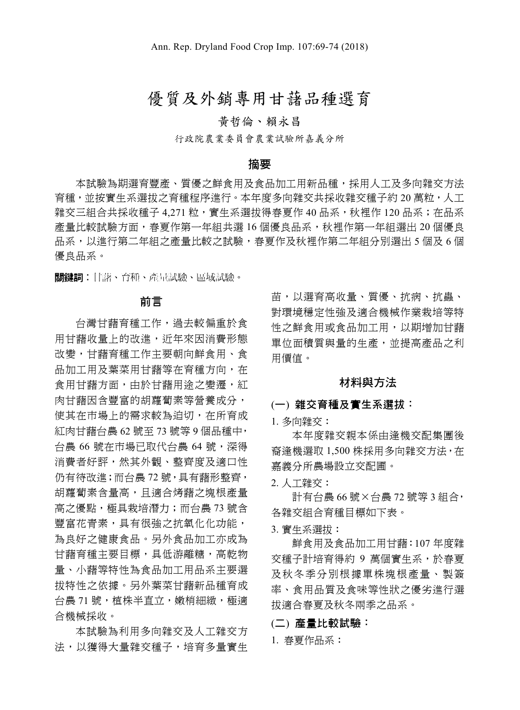# 優質及外銷專用甘藷品種選育

# 黃哲倫、賴永昌

行政院農業委員會農業試驗所嘉義分所

#### 摘要

本試驗為期選育豐產、質優之鮮食用及食品加工用新品種,採用人工及多向雜交方法 育種,並按實生系選拔之育種程序進行。本年度多向雜交共採收雜交種子約 20 萬粒,人工 雜交三組合共採收種子 4.271 粒,實生系選拔得春夏作 40 品系,秋裡作 120 品系;在品系 產量比較試驗方面,春夏作第一年組共選 16 個優良品系,秋裡作第一年組選出 20 個優良 品系,以進行第二年組之產量比較之試驗,春夏作及秋裡作第二年組分別選出 5 個及 6 個 優良品系。

關鍵詞︰甘藷、育種、產量試驗、區域試驗。

#### 前言

台灣甘藷育種工作,過去較偏重於食 用甘藷收量上的改進, 近年來因消費形態 改變,甘藷育種工作主要朝向鮮食用、食 品加工用及葉菜用甘藷等在育種方向,在 食用甘藷方面,由於甘藷用途之變遷,紅 肉甘藷因含豐富的胡蘿蔔素等營養成分, 使其在市場上的需求較為迫切,在所育成 紅肉甘藷台農 62 號至 73 號等 9 個品種中, 台農 66 號在市場已取代台農 64 號,深得 消費者好評,然其外觀、整齊度及適口性 仍有待改進;而台農 72 號,具有藷形整齊, 胡蘿蔔素含量高,且適合烤藷之塊根產量 高之優點,極具栽培潛力;而台農 73號含 豐富花青素,具有很強之抗氧化化功能, 為良好之健康食品。另外食品加工亦成為 甘藷育種主要目標,具低游離糖,高乾物 量、小藷等特性為食品加工用品系主要選 拔特性之依據。另外葉菜甘藷新品種育成 台農 71 號,植株半直立,嫩梢細緻,極適 合機械採收。

本試驗為利用多向雜交及人工雜交方 法,以獲得大量雜交種子,培育多量實生 苗,以選育高收量、質優、抗病、抗蟲、 對環境穩定性強及適合機械作業栽培等特 性之鮮食用或食品加工用,以期增加甘藷 單位面積質與量的生產,並提高產品之利 用價值。

#### 材料與方法

#### (一) 雜交育種及實生系選拔:

1. 多向雜交:

本年度雜交親本係由逢機交配集團後 裔逢機選取 1,500 株採用多向雜交方法,在 嘉義分所農場設立交配圃。

2. 人工雜交:

計有台農 66 號×台農 72 號等 3 組合, 各雜交組合育種目標如下表。

3. 實生系選拔:

鮮食用及食品加工用甘藷:107 年度雜 交種子計培育得約 9 萬個實生系,於春夏 及秋冬季分別根據單株塊根產量、製簽 率、食用品質及食味等性狀之優劣進行選 拔適合春夏及秋冬兩季之品系。

(二) 產量比較試驗:

1. 春夏作品系: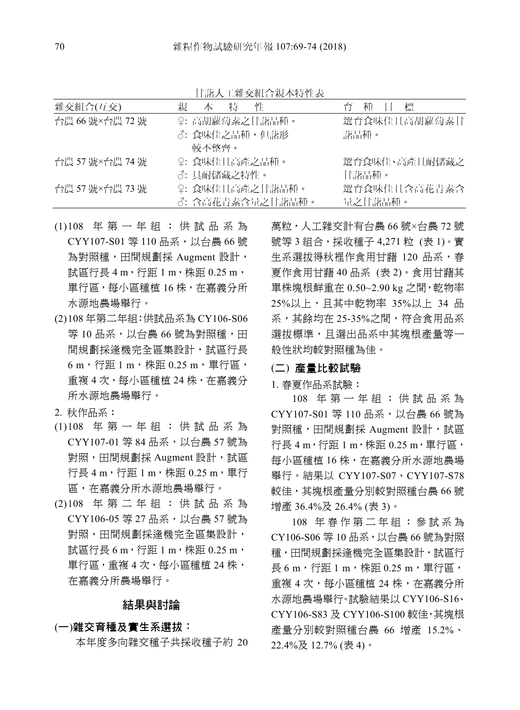| 雜交組合(互交)        | 親 | 本           | 特 | 忤                | 育    | 種       | 標             |
|-----------------|---|-------------|---|------------------|------|---------|---------------|
| 台農 66 號×台農 72 號 |   |             |   | ♀: 高胡蘿蔔素之甘藷品種。   |      |         | 選育食味佳且高胡蘿蔔素甘  |
|                 |   |             |   | ♂: 食味佳之品種,但藷形    | 藷品種。 |         |               |
|                 |   | 較不整齊。       |   |                  |      |         |               |
| 台農 57號×台農 74號   |   |             |   | ♀: 食味佳且高產之品種。    |      |         | 選育食味佳、高產且耐儲藏之 |
|                 |   | ♂: 具耐儲藏之特性。 |   |                  |      | 甘藷品種。   |               |
| 台農 57號×台農 73號   |   |             |   | ♀: 食味佳且高產之甘藷品種。  |      |         | 選育食味佳日含高花青素含  |
|                 |   |             |   | ♂: 含高花青素含量之甘藷品種。 |      | 量之甘藷品種。 |               |

甘藷人工雜交組合親本特性表

- (1) 108 年第一年組:供試品系為 CYY107-S01 等 110 品系, 以台農 66 號 為對照種,田間規劃採 Augment 設計, 試區行長 4 m, 行距 1 m, 株距 0.25 m, 單行區,每小區種植 16 株,在嘉義分所 水源地農場舉行。
- (2) 108 年第二年組:供試品系為 CY106-S06 等 10 品系,以台農 66 號為對照種,田 間規劃採逢機完全區集設計,試區行長 6 m,行距 1 m,株距 0.25 m,單行區, 重複 4 次,每小區種植 24 株,在嘉義分 所水源地農場舉行。
- 2. 秋作品系:
- (1) 108 年第一年組:供試品系為 CYY107-01 等 84 品系,以台農 57 號為 對照,田間規劃採 Augment 設計,試區 行長 4 m,行距 1 m,株距 0.25 m,單行 區,在嘉義分所水源地農場舉行。
- (2) 108 年第二年組:供試品系為 CYY106-05 等 27 品系,以台農 57 號為 對照,田間規劃採逢機完全區集設計, 試區行長 6 m, 行距 1 m, 株距 0.25 m, 單行區,重複 4 次,每小區種植 24 株, 在嘉義分所農場舉行。

### 結果與討論

#### (一)雜交育種及實生系選拔:

本年度多向雜交種子共採收種子約 20

萬粒,人工雜交計有台農 66 號×台農 72 號 號等 3 組合,採收種子 4,271 粒 (表 1)。實 生系選拔得秋裡作食用甘藷 120 品系,春 夏作食用甘藷 40 品系 (表 2)。食用甘藷其 單株塊根鮮重在 0.50~2.90 kg 之間,乾物率 25%以上,且其中乾物率 35%以上 34 品 系,其餘均在 25-35%之間,符合食用品系 選拔標準,且選出品系中其塊根產量等一 般性狀均較對照種為佳。

## (二) 產量比較試驗

1. 春夏作品系試驗:

108 年第一年組:供試品系為 CYY107-S01 等 110 品系, 以台農 66 號為 對照種,田間規劃採 Augment 設計,試區  $f \equiv 4 \text{ m} \cdot \text{f}$   $f \equiv 1 \text{ m} \cdot \text{f}$  #  $f \equiv 0.25 \text{ m} \cdot \text{f}$  #  $f \equiv 4 \text{ m} \cdot \text{f}$  #  $f \equiv 0.25 \text{ m} \cdot \text{f}$  #  $f \equiv 4 \text{ m} \cdot \text{f}$  #  $f \equiv 0.25 \text{ m} \cdot \text{f}$  #  $f \equiv 4 \text{ m} \cdot \text{f}$  #  $f \equiv 0.25 \text{ m} \cdot \text{f}$  #  $f \equiv 4 \text{ m} \$ 每小區種植 16 株,在嘉義分所水源地農場 舉行。結果以 CYY107-S07、CYY107-S78 較佳,其塊根產量分別較對照種台農 66 號 增產 36.4%及 26.4% (表 3)。

108 年春作第二年組:參試系為 CY106-S06 等 10 品系,以台農 66 號為對照 種,田間規劃採逢機完全區集設計,試區行  $\overline{5}$  6 m, 行距 1 m, 株距 0.25 m, 單行區, 重複 4 次,每小區種植 24 株,在嘉義分所 水源地農場舉行。試驗結果以 CYY106-S16、 CYY106-S83 及 CYY106-S100 較佳,其塊根 產量分別較對照種台農 66 增產 15.2%、 22.4%及 12.7% (表 4)。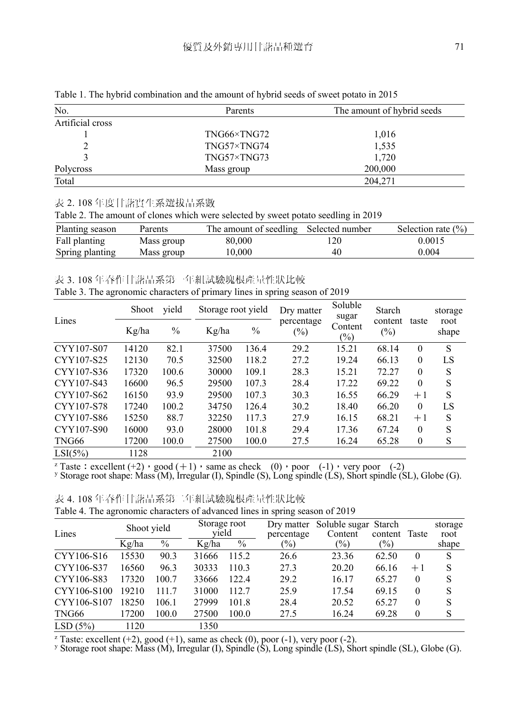| No.              | Parents             | The amount of hybrid seeds |
|------------------|---------------------|----------------------------|
| Artificial cross |                     |                            |
|                  | TNG66×TNG72         | 1,016                      |
|                  | TNG57×TNG74         | 1,535                      |
|                  | $TNG57\times TNG73$ | 1.720                      |
| Polycross        | Mass group          | 200,000                    |
| Total            |                     | 204,271                    |

Table 1. The hybrid combination and the amount of hybrid seeds of sweet potato in 2015

#### 表 2. 108 年度甘藷實生系選拔品系數

Table 2. The amount of clones which were selected by sweet potato seedling in 2019

| Planting season | Parents    | The amount of seedling Selected number |     | Selection rate $(\% )$ |
|-----------------|------------|----------------------------------------|-----|------------------------|
| Fall planting   | Mass group | 80,000                                 | 120 | 0.0015                 |
| Spring planting | Mass group | 10.000                                 | 40  | 0.004                  |

表 3. 108 年春作甘藷品系第一年組試驗塊根產量性狀比較

| Table 3. The agronomic characters of primary lines in spring season of 2019 |  |  |  |
|-----------------------------------------------------------------------------|--|--|--|
|                                                                             |  |  |  |

|            | Shoot | yield         | Storage root yield |               | Dry matter           | Soluble<br>sugar  | Starch            |          | storage       |
|------------|-------|---------------|--------------------|---------------|----------------------|-------------------|-------------------|----------|---------------|
| Lines      | Kg/ha | $\frac{0}{0}$ | Kg/ha              | $\frac{0}{0}$ | percentage<br>$(\%)$ | Content<br>$(\%)$ | content<br>$(\%)$ | taste    | root<br>shape |
| CYY107-S07 | 14120 | 82.1          | 37500              | 136.4         | 29.2                 | 15.21             | 68.14             | $\theta$ | S             |
| CYY107-S25 | 12130 | 70.5          | 32500              | 118.2         | 27.2                 | 19.24             | 66.13             | $\theta$ | LS            |
| CYY107-S36 | 17320 | 100.6         | 30000              | 109.1         | 28.3                 | 15.21             | 72.27             | $\theta$ | S             |
| CYY107-S43 | 16600 | 96.5          | 29500              | 107.3         | 28.4                 | 17.22             | 69.22             | $\theta$ | S             |
| CYY107-S62 | 16150 | 93.9          | 29500              | 107.3         | 30.3                 | 16.55             | 66.29             | $+1$     | S             |
| CYY107-S78 | 17240 | 100.2         | 34750              | 126.4         | 30.2                 | 18.40             | 66.20             | $\theta$ | LS            |
| CYY107-S86 | 15250 | 88.7          | 32250              | 117.3         | 27.9                 | 16.15             | 68.21             | $+1$     | S             |
| CYY107-S90 | 16000 | 93.0          | 28000              | 101.8         | 29.4                 | 17.36             | 67.24             | $\Omega$ | S             |
| TNG66      | 17200 | 100.0         | 27500              | 100.0         | 27.5                 | 16.24             | 65.28             | $\theta$ | S             |
| LSI(5%)    | 1128  |               | 2100               |               |                      |                   |                   |          |               |

<sup>z</sup> Taste : excellent  $(+2)$ , good  $(+1)$ , same as check (0), poor (-1), very poor (-2) y Storage root shape: Mass (M), Irregular (I), Spindle (S), Long spindle (LS), Short spindle (SL), Globe (G).

表 4. 108 年春作甘藷品系第二年組試驗塊根產量性狀比較

|  | Table 4. The agronomic characters of advanced lines in spring season of 2019 |  |  |  |  |
|--|------------------------------------------------------------------------------|--|--|--|--|
|  |                                                                              |  |  |  |  |

| Lines       | Shoot yield |       | Storage root<br>yield |       | percentage | Dry matter Soluble sugar Starch<br>Content | content Taste |          | storage<br>root |
|-------------|-------------|-------|-----------------------|-------|------------|--------------------------------------------|---------------|----------|-----------------|
|             | Kg/ha       | $\%$  | Kg/ha                 | $\%$  | $(\%)$     | (%)                                        | $(\%)$        |          | shape           |
| CYY106-S16  | 15530       | 90.3  | 31666                 | 115.2 | 26.6       | 23.36                                      | 62.50         | $\theta$ | S               |
| CYY106-S37  | 16560       | 96.3  | 30333                 | 110.3 | 27.3       | 20.20                                      | 66.16         | $+1$     | S               |
| CYY106-S83  | 17320       | 100.7 | 33666                 | 122.4 | 29.2       | 16.17                                      | 65.27         | $\theta$ | S               |
| CYY106-S100 | 19210       | 111.7 | 31000                 | 112.7 | 25.9       | 17.54                                      | 69.15         | $\theta$ | S               |
| CYY106-S107 | 18250       | 106.1 | 27999                 | 101.8 | 28.4       | 20.52                                      | 65.27         | $\theta$ | S               |
| TNG66       | 17200       | 100.0 | 27500                 | 100.0 | 27.5       | 16.24                                      | 69.28         | $\theta$ | S               |
| LSD(5%)     | 1120        |       | 1350                  |       |            |                                            |               |          |                 |

<sup>z</sup> Taste: excellent (+2), good (+1), same as check (0), poor (-1), very poor (-2).<br><sup>y</sup> Storage root shape: Mass (M), Irregular (I), Spindle (S), Long spindle (LS), Short spindle (SL), Globe (G).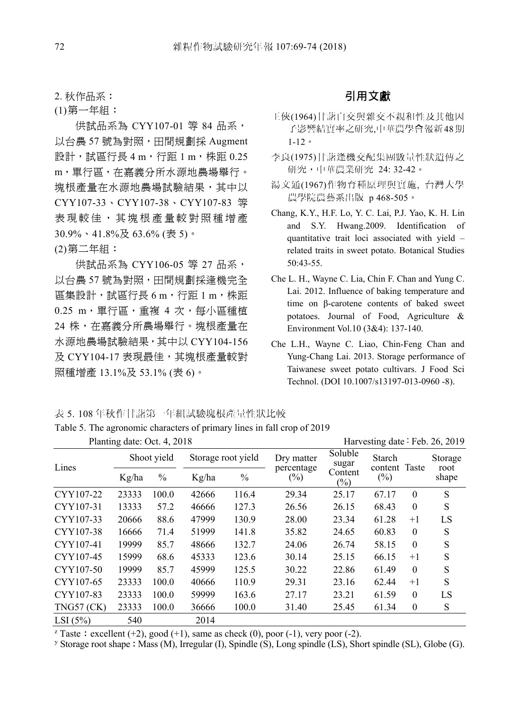2. 秋作品系:

(1) 第一年組:

供試品系為 CYY107-01 等 84 品系, 以台農 57 號為對照,田間規劃採 Augment 設計,試區行長 4 m, 行距 1 m, 株距 0.25 m,單行區,在嘉義分所水源地農場舉行。 塊根產量在水源地農場試驗結果,其中以 CYY107-33、CYY107-38、CYY107-83 等 表現較佳,其塊根產量較對照種增產 30.9%、41.8%及 63.6% (表 5)。

(2) 第二年組:

供試品系為 CYY106-05 等 27 品系, 以台農 57 號為對照,田間規劃採逢機完全 區集設計,試區行長 6 m,行距 1 m,株距 0.25 m,單行區,重複 4 次,每小區種植 24 株,在嘉義分所農場舉行。塊根產量在 水源地農場試驗結果,其中以 CYY104-156 及 CYY104-17 表現最佳,其塊根產量較對 照種增產 13.1%及 53.1% (表 6)。

# 引用文獻

- 王俠(1964)甘藷自交與雜交不親和性及其他因 子影響結實率之研究,中華農學會報新 48期 1-12。
- 李良(1975)甘藷逢機交配集團數量性狀遺傳之 研究,中華農業研究 24: 32-42。
- 湯文通(1967)作物育種原理與實施, 台灣大學 農學院農藝系出版 p 468-505。
- Chang, K.Y., H.F. Lo, Y. C. Lai, P.J. Yao, K. H. Lin and S.Y. Hwang.2009. Identification of quantitative trait loci associated with yield – related traits in sweet potato. Botanical Studies 50:43-55.
- Che L. H., Wayne C. Lia, Chin F. Chan and Yung C. Lai. 2012. Influence of baking temperature and time on β-carotene contents of baked sweet potatoes. Journal of Food, Agriculture & Environment Vol.10 (3&4): 137-140.
- Che L.H., Wayne C. Liao, Chin-Feng Chan and Yung-Chang Lai. 2013. Storage performance of Taiwanese sweet potato cultivars. J Food Sci Technol. (DOI 10.1007/s13197-013-0960 -8).

表 5. 108 年秋作甘藷第一年組試驗塊根產量性狀比較

Table 5. The agronomic characters of primary lines in fall crop of 2019

|              | Planting date: Oct. 4, 2018 |               |                    |               |                      |                  |                         | Harvesting date: Feb. 26, 2019 |                 |
|--------------|-----------------------------|---------------|--------------------|---------------|----------------------|------------------|-------------------------|--------------------------------|-----------------|
| Lines        |                             | Shoot yield   | Storage root yield |               | Dry matter           | Soluble<br>sugar | Starch<br>content Taste |                                | Storage<br>root |
|              | Kg/ha                       | $\frac{0}{0}$ | Kg/ha              | $\frac{0}{0}$ | percentage<br>$(\%)$ | Content<br>(%)   | $(\%)$                  |                                | shape           |
| CYY107-22    | 23333                       | 100.0         | 42666              | 116.4         | 29.34                | 25.17            | 67.17                   | $\theta$                       | S               |
| CYY107-31    | 13333                       | 57.2          | 46666              | 127.3         | 26.56                | 26.15            | 68.43                   | $\theta$                       | S               |
| CYY107-33    | 20666                       | 88.6          | 47999              | 130.9         | 28.00                | 23.34            | 61.28                   | $+1$                           | LS              |
| CYY107-38    | 16666                       | 71.4          | 51999              | 141.8         | 35.82                | 24.65            | 60.83                   | $\theta$                       | S               |
| CYY107-41    | 19999                       | 85.7          | 48666              | 132.7         | 24.06                | 26.74            | 58.15                   | $\theta$                       | S               |
| CYY107-45    | 15999                       | 68.6          | 45333              | 123.6         | 30.14                | 25.15            | 66.15                   | $+1$                           | S               |
| CYY107-50    | 19999                       | 85.7          | 45999              | 125.5         | 30.22                | 22.86            | 61.49                   | $\theta$                       | S               |
| CYY107-65    | 23333                       | 100.0         | 40666              | 110.9         | 29.31                | 23.16            | 62.44                   | $+1$                           | S               |
| CYY107-83    | 23333                       | 100.0         | 59999              | 163.6         | 27.17                | 23.21            | 61.59                   | $\theta$                       | LS              |
| $TNG57$ (CK) | 23333                       | 100.0         | 36666              | 100.0         | 31.40                | 25.45            | 61.34                   | $\theta$                       | S               |
| LSI(5%)      | 540                         |               | 2014               |               |                      |                  |                         |                                |                 |

<sup>z</sup> Taste : excellent (+2), good (+1), same as check (0), poor (-1), very poor (-2).

<sup>z</sup> Taste : excellent (+2), good (+1), same as check (0), poor (-1), very poor (-2). <br><sup>y</sup> Storage root shape : Mass (M), Irregular (I), Spindle (S), Long spindle (LS), Short spindle (SL), Globe (G).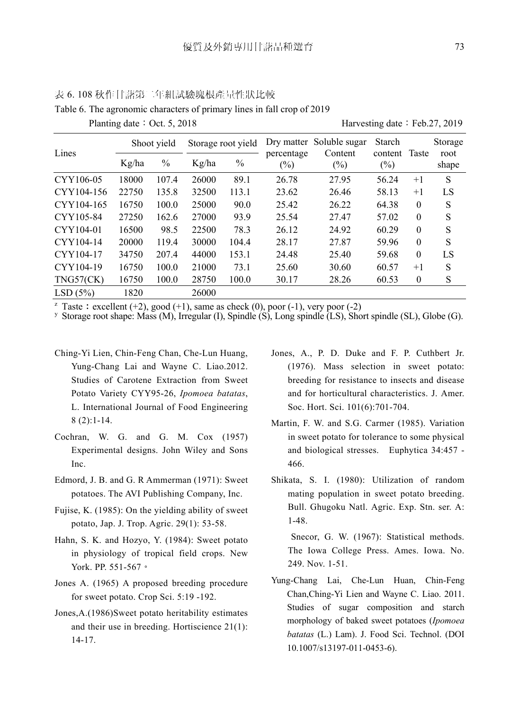|            | $\circ$ |             |       |                    |                      |                                     | ▱                       |                  |                 |
|------------|---------|-------------|-------|--------------------|----------------------|-------------------------------------|-------------------------|------------------|-----------------|
| Lines      |         | Shoot yield |       | Storage root yield |                      | Dry matter Soluble sugar<br>Content | Starch<br>content Taste |                  | Storage<br>root |
|            | Kg/ha   | $\%$        | Kg/ha | $\frac{0}{0}$      | percentage<br>$(\%)$ | $(\%)$                              | $(\%)$                  |                  | shape           |
| CYY106-05  | 18000   | 107.4       | 26000 | 89.1               | 26.78                | 27.95                               | 56.24                   | $+1$             | S               |
| CYY104-156 | 22750   | 135.8       | 32500 | 113.1              | 23.62                | 26.46                               | 58.13                   | $+1$             | LS              |
| CYY104-165 | 16750   | 100.0       | 25000 | 90.0               | 25.42                | 26.22                               | 64.38                   | $\Omega$         | S               |
| CYY105-84  | 27250   | 162.6       | 27000 | 93.9               | 25.54                | 27.47                               | 57.02                   | $\theta$         | S               |
| CYY104-01  | 16500   | 98.5        | 22500 | 78.3               | 26.12                | 24.92                               | 60.29                   | $\Omega$         | S               |
| CYY104-14  | 20000   | 119.4       | 30000 | 104.4              | 28.17                | 27.87                               | 59.96                   | $\theta$         | S               |
| CYY104-17  | 34750   | 207.4       | 44000 | 153.1              | 24.48                | 25.40                               | 59.68                   | $\theta$         | LS              |
| CYY104-19  | 16750   | 100.0       | 21000 | 73.1               | 25.60                | 30.60                               | 60.57                   | $+1$             | S               |
| TNG57(CK)  | 16750   | 100.0       | 28750 | 100.0              | 30.17                | 28.26                               | 60.53                   | $\boldsymbol{0}$ | S               |
| LSD(5%)    | 1820    |             | 26000 |                    |                      |                                     |                         |                  |                 |

表 6. 108 秋作甘藷第二年組試驗塊根產量性狀比較 Table 6. The agronomic characters of primary lines in fall crop of 2019

Planting date: Oct. 5, 2018 Harvesting date: Feb.27, 2019

<sup>z</sup> Taste : excellent (+2), good (+1), same as check (0), poor (-1), very poor (-2)<br><sup>y</sup> Storage root shape: Mass (M), Irregular (I), Spindle (S), Long spindle (LS), Short spindle (SL), Globe (G).

- Ching-Yi Lien, Chin-Feng Chan, Che-Lun Huang, Yung-Chang Lai and Wayne C. Liao.2012. Studies of Carotene Extraction from Sweet Potato Variety CYY95-26, *Ipomoea batatas*, L. International Journal of Food Engineering 8 (2):1-14.
- Cochran, W. G. and G. M. Cox (1957) Experimental designs. John Wiley and Sons Inc.
- Edmord, J. B. and G. R Ammerman (1971): Sweet potatoes. The AVI Publishing Company, Inc.
- Fujise, K. (1985): On the yielding ability of sweet potato, Jap. J. Trop. Agric. 29(1): 53-58.
- Hahn, S. K. and Hozyo, Y. (1984): Sweet potato in physiology of tropical field crops. New York. PP. 551-567。
- Jones A. (1965) A proposed breeding procedure for sweet potato. Crop Sci. 5:19 -192.
- Jones,A.(1986)Sweet potato heritability estimates and their use in breeding. Hortiscience 21(1): 14-17.
- Jones, A., P. D. Duke and F. P. Cuthbert Jr. (1976). Mass selection in sweet potato: breeding for resistance to insects and disease and for horticultural characteristics. J. Amer. Soc. Hort. Sci. 101(6):701-704.
- Martin, F. W. and S.G. Carmer (1985). Variation in sweet potato for tolerance to some physical and biological stresses. Euphytica 34:457 - 466.
- Shikata, S. I. (1980): Utilization of random mating population in sweet potato breeding. Bull. Ghugoku Natl. Agric. Exp. Stn. ser. A: 1-48.

Snecor, G. W. (1967): Statistical methods. The Iowa College Press. Ames. Iowa. No. 249. Nov. 1-51.

Yung-Chang Lai, Che-Lun Huan, Chin-Feng Chan,Ching-Yi Lien and Wayne C. Liao. 2011. Studies of sugar composition and starch morphology of baked sweet potatoes (*Ipomoea batatas* (L.) Lam). J. Food Sci. Technol. (DOI 10.1007/s13197-011-0453-6).